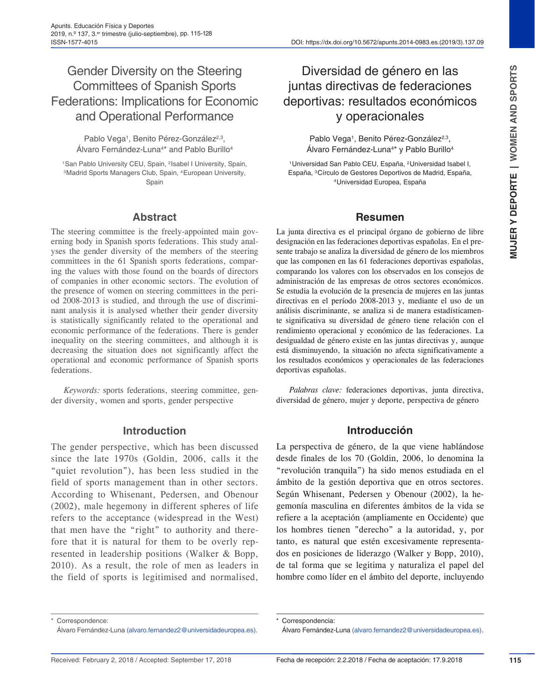ISSN-1577-4015 DOI: https://dx.doi.org/10.5672/apunts.2014-0983.es.(2019/3).137.09

# Gender Diversity on the Steering Committees of Spanish Sports Federations: Implications for Economic and Operational Performance

Pablo Vega<sup>1</sup>, Benito Pérez-González<sup>2,3</sup>, Álvaro Fernández-Luna<sup>4\*</sup> and Pablo Burillo<sup>4</sup>

<sup>1</sup>San Pablo University CEU, Spain, <sup>2</sup>Isabel I University, Spain, 3Madrid Sports Managers Club, Spain, 4European University, Spain

### **Abstract**

The steering committee is the freely-appointed main governing body in Spanish sports federations. This study analyses the gender diversity of the members of the steering committees in the 61 Spanish sports federations, comparing the values with those found on the boards of directors of companies in other economic sectors. The evolution of the presence of women on steering committees in the period 2008-2013 is studied, and through the use of discriminant analysis it is analysed whether their gender diversity is statistically significantly related to the operational and economic performance of the federations. There is gender inequality on the steering committees, and although it is decreasing the situation does not significantly affect the operational and economic performance of Spanish sports federations.

*Keywords:* sports federations, steering committee, gender diversity, women and sports, gender perspective

#### **Introduction**

The gender perspective, which has been discussed since the late 1970s (Goldin, 2006, calls it the "quiet revolution"), has been less studied in the field of sports management than in other sectors. According to Whisenant, Pedersen, and Obenour (2002), male hegemony in different spheres of life refers to the acceptance (widespread in the West) that men have the "right" to authority and therefore that it is natural for them to be overly represented in leadership positions (Walker & Bopp, 2010). As a result, the role of men as leaders in the field of sports is legitimised and normalised,

# Diversidad de género en las juntas directivas de federaciones deportivas: resultados económicos y operacionales

Pablo Vega<sup>1</sup>, Benito Pérez-González<sup>2,3</sup>, Álvaro Fernández-Luna4\* y Pablo Burillo4

1Universidad San Pablo CEU, España, 2Universidad Isabel I, España, 3Círculo de Gestores Deportivos de Madrid, España, 4Universidad Europea, España

### **Resumen**

La junta directiva es el principal órgano de gobierno de libre designación en las federaciones deportivas españolas. En el presente trabajo se analiza la diversidad de género de los miembros que las componen en las 61 federaciones deportivas españolas, comparando los valores con los observados en los consejos de administración de las empresas de otros sectores económicos. Se estudia la evolución de la presencia de mujeres en las juntas directivas en el período 2008-2013 y, mediante el uso de un análisis discriminante, se analiza si de manera estadísticamente significativa su diversidad de género tiene relación con el rendimiento operacional y económico de las federaciones. La desigualdad de género existe en las juntas directivas y, aunque está disminuyendo, la situación no afecta significativamente a los resultados económicos y operacionales de las federaciones deportivas españolas.

*Palabras clave:* federaciones deportivas, junta directiva, diversidad de género, mujer y deporte, perspectiva de género

## **Introducción**

La perspectiva de género, de la que viene hablándose desde finales de los 70 (Goldin, 2006, lo denomina la "revolución tranquila") ha sido menos estudiada en el ámbito de la gestión deportiva que en otros sectores. Según Whisenant, Pedersen y Obenour (2002), la hegemonía masculina en diferentes ámbitos de la vida se refiere a la aceptación (ampliamente en Occidente) que los hombres tienen "derecho" a la autoridad, y, por tanto, es natural que estén excesivamente representados en posiciones de liderazgo (Walker y Bopp, 2010), de tal forma que se legitima y naturaliza el papel del hombre como líder en el ámbito del deporte, incluyendo

Correspondencia:

Correspondence:

Álvaro Fernández-Luna (alvaro.fernandez2@universidadeuropea.es).

Álvaro Fernández-Luna (alvaro.fernandez2@universidadeuropea.es).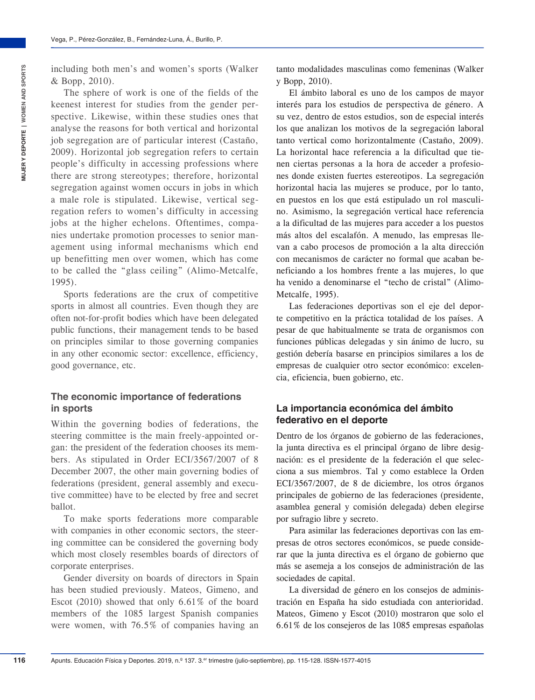The sphere of work is one of the fields of the keenest interest for studies from the gender perspective. Likewise, within these studies ones that analyse the reasons for both vertical and horizontal job segregation are of particular interest (Castaño, 2009). Horizontal job segregation refers to certain people's difficulty in accessing professions where there are strong stereotypes; therefore, horizontal segregation against women occurs in jobs in which a male role is stipulated. Likewise, vertical segregation refers to women's difficulty in accessing jobs at the higher echelons. Oftentimes, companies undertake promotion processes to senior management using informal mechanisms which end up benefitting men over women, which has come to be called the "glass ceiling" (Alimo-Metcalfe, 1995).

Sports federations are the crux of competitive sports in almost all countries. Even though they are often not-for-profit bodies which have been delegated public functions, their management tends to be based on principles similar to those governing companies in any other economic sector: excellence, efficiency, good governance, etc.

## **The economic importance of federations in sports**

Within the governing bodies of federations, the steering committee is the main freely-appointed organ: the president of the federation chooses its members. As stipulated in Order ECI/3567/2007 of 8 December 2007, the other main governing bodies of federations (president, general assembly and executive committee) have to be elected by free and secret ballot.

To make sports federations more comparable with companies in other economic sectors, the steering committee can be considered the governing body which most closely resembles boards of directors of corporate enterprises.

Gender diversity on boards of directors in Spain has been studied previously. Mateos, Gimeno, and Escot (2010) showed that only 6.61% of the board members of the 1085 largest Spanish companies were women, with 76.5% of companies having an

tanto modalidades masculinas como femeninas (Walker y Bopp, 2010).

El ámbito laboral es uno de los campos de mayor interés para los estudios de perspectiva de género. A su vez, dentro de estos estudios, son de especial interés los que analizan los motivos de la segregación laboral tanto vertical como horizontalmente (Castaño, 2009). La horizontal hace referencia a la dificultad que tienen ciertas personas a la hora de acceder a profesiones donde existen fuertes estereotipos. La segregación horizontal hacia las mujeres se produce, por lo tanto, en puestos en los que está estipulado un rol masculino. Asimismo, la segregación vertical hace referencia a la dificultad de las mujeres para acceder a los puestos más altos del escalafón. A menudo, las empresas llevan a cabo procesos de promoción a la alta dirección con mecanismos de carácter no formal que acaban beneficiando a los hombres frente a las mujeres, lo que ha venido a denominarse el "techo de cristal" (Alimo-Metcalfe, 1995).

Las federaciones deportivas son el eje del deporte competitivo en la práctica totalidad de los países. A pesar de que habitualmente se trata de organismos con funciones públicas delegadas y sin ánimo de lucro, su gestión debería basarse en principios similares a los de empresas de cualquier otro sector económico: excelencia, eficiencia, buen gobierno, etc.

### **La importancia económica del ámbito federativo en el deporte**

Dentro de los órganos de gobierno de las federaciones, la junta directiva es el principal órgano de libre designación: es el presidente de la federación el que selecciona a sus miembros. Tal y como establece la Orden ECI/3567/2007, de 8 de diciembre, los otros órganos principales de gobierno de las federaciones (presidente, asamblea general y comisión delegada) deben elegirse por sufragio libre y secreto.

Para asimilar las federaciones deportivas con las empresas de otros sectores económicos, se puede considerar que la junta directiva es el órgano de gobierno que más se asemeja a los consejos de administración de las sociedades de capital.

La diversidad de género en los consejos de administración en España ha sido estudiada con anterioridad. Mateos, Gimeno y Escot (2010) mostraron que solo el 6.61% de los consejeros de las 1085 empresas españolas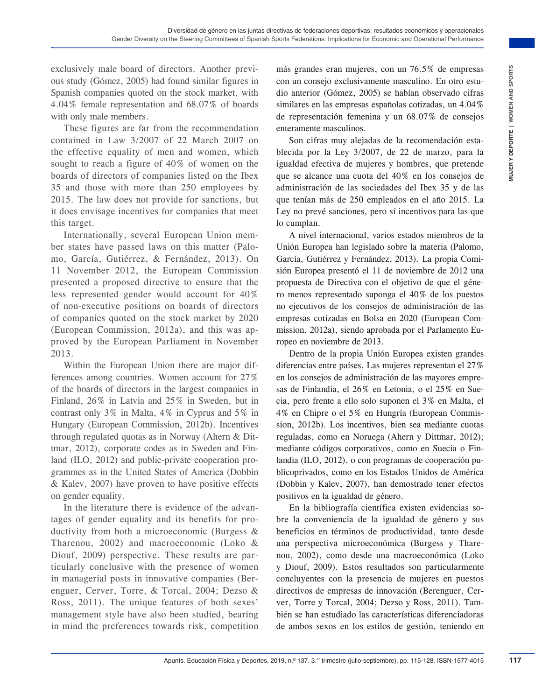exclusively male board of directors. Another previous study (Gómez, 2005) had found similar figures in Spanish companies quoted on the stock market, with 4.04% female representation and 68.07% of boards with only male members.

These figures are far from the recommendation contained in Law 3/2007 of 22 March 2007 on the effective equality of men and women, which sought to reach a figure of 40% of women on the boards of directors of companies listed on the Ibex 35 and those with more than 250 employees by 2015. The law does not provide for sanctions, but it does envisage incentives for companies that meet this target.

Internationally, several European Union member states have passed laws on this matter (Palomo, García, Gutiérrez, & Fernández, 2013). On 11 November 2012, the European Commission presented a proposed directive to ensure that the less represented gender would account for 40% of non-executive positions on boards of directors of companies quoted on the stock market by 2020 (European Commission, 2012a), and this was approved by the European Parliament in November 2013.

Within the European Union there are major differences among countries. Women account for 27% of the boards of directors in the largest companies in Finland, 26% in Latvia and 25% in Sweden, but in contrast only 3% in Malta, 4% in Cyprus and 5% in Hungary (European Commission, 2012b). Incentives through regulated quotas as in Norway (Ahern & Dittmar, 2012), corporate codes as in Sweden and Finland (ILO, 2012) and public-private cooperation programmes as in the United States of America (Dobbin & Kalev, 2007) have proven to have positive effects on gender equality.

In the literature there is evidence of the advantages of gender equality and its benefits for productivity from both a microeconomic (Burgess & Tharenou, 2002) and macroeconomic (Loko & Diouf, 2009) perspective. These results are particularly conclusive with the presence of women in managerial posts in innovative companies (Berenguer, Cerver, Torre, & Torcal, 2004; Dezso & Ross, 2011). The unique features of both sexes' management style have also been studied, bearing in mind the preferences towards risk, competition más grandes eran mujeres, con un 76.5% de empresas con un consejo exclusivamente masculino. En otro estudio anterior (Gómez, 2005) se habían observado cifras similares en las empresas españolas cotizadas, un 4.04% de representación femenina y un 68.07% de consejos enteramente masculinos.

Son cifras muy alejadas de la recomendación establecida por la Ley 3/2007, de 22 de marzo, para la igualdad efectiva de mujeres y hombres, que pretende que se alcance una cuota del 40% en los consejos de administración de las sociedades del Ibex 35 y de las que tenían más de 250 empleados en el año 2015. La Ley no prevé sanciones, pero sí incentivos para las que lo cumplan.

A nivel internacional, varios estados miembros de la Unión Europea han legislado sobre la materia (Palomo, García, Gutiérrez y Fernández, 2013). La propia Comisión Europea presentó el 11 de noviembre de 2012 una propuesta de Directiva con el objetivo de que el género menos representado suponga el 40% de los puestos no ejecutivos de los consejos de administración de las empresas cotizadas en Bolsa en 2020 (European Commission, 2012a), siendo aprobada por el Parlamento Europeo en noviembre de 2013.

Frechot Revolution Frequencial of the space of the space of the space of the space contents. 2019, section the space of the space contents of the space of the space of the space of the space of the space of the space of th Dentro de la propia Unión Europea existen grandes diferencias entre países. Las mujeres representan el 27% en los consejos de administración de las mayores empresas de Finlandia, el 26% en Letonia, o el 25% en Suecia, pero frente a ello solo suponen el 3% en Malta, el 4% en Chipre o el 5% en Hungría (European Commission, 2012b). Los incentivos, bien sea mediante cuotas reguladas, como en Noruega (Ahern y Dittmar, 2012); mediante códigos corporativos, como en Suecia o Finlandia (ILO, 2012), o con programas de cooperación publicoprivados, como en los Estados Unidos de América (Dobbin y Kalev, 2007), han demostrado tener efectos positivos en la igualdad de género.

En la bibliografía científica existen evidencias sobre la conveniencia de la igualdad de género y sus beneficios en términos de productividad, tanto desde una perspectiva microeconómica (Burgess y Tharenou, 2002), como desde una macroeconómica (Loko y Diouf, 2009). Estos resultados son particularmente concluyentes con la presencia de mujeres en puestos directivos de empresas de innovación (Berenguer, Cerver, Torre y Torcal, 2004; Dezso y Ross, 2011). También se han estudiado las características diferenciadoras de ambos sexos en los estilos de gestión, teniendo en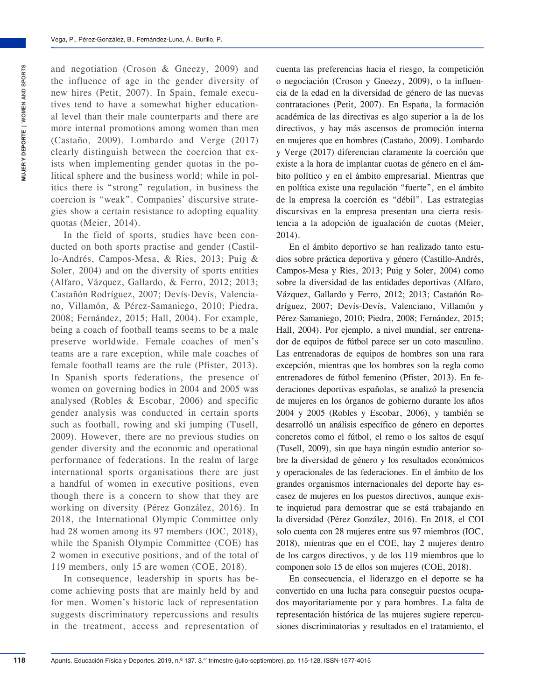and negotiation (Croson & Gneezy, 2009) and the influence of age in the gender diversity of new hires (Petit, 2007). In Spain, female executives tend to have a somewhat higher educational level than their male counterparts and there are more internal promotions among women than men (Castaño, 2009). Lombardo and Verge (2017) clearly distinguish between the coercion that exists when implementing gender quotas in the political sphere and the business world; while in politics there is "strong" regulation, in business the coercion is "weak". Companies' discursive strategies show a certain resistance to adopting equality quotas (Meier, 2014).

In the field of sports, studies have been conducted on both sports practise and gender (Castillo-Andrés, Campos-Mesa, & Ries, 2013; Puig & Soler, 2004) and on the diversity of sports entities (Alfaro, Vázquez, Gallardo, & Ferro, 2012; 2013; Castañón Rodríguez, 2007; Devís-Devís, Valenciano, Villamón, & Pérez-Samaniego, 2010; Piedra, 2008; Fernández, 2015; Hall, 2004). For example, being a coach of football teams seems to be a male preserve worldwide. Female coaches of men's teams are a rare exception, while male coaches of female football teams are the rule (Pfister, 2013). In Spanish sports federations, the presence of women on governing bodies in 2004 and 2005 was analysed (Robles & Escobar, 2006) and specific gender analysis was conducted in certain sports such as football, rowing and ski jumping (Tusell, 2009). However, there are no previous studies on gender diversity and the economic and operational performance of federations. In the realm of large international sports organisations there are just a handful of women in executive positions, even though there is a concern to show that they are working on diversity (Pérez González, 2016). In 2018, the International Olympic Committee only had 28 women among its 97 members (IOC, 2018), while the Spanish Olympic Committee (COE) has 2 women in executive positions, and of the total of 119 members, only 15 are women (COE, 2018).

In consequence, leadership in sports has become achieving posts that are mainly held by and for men. Women's historic lack of representation suggests discriminatory repercussions and results in the treatment, access and representation of cuenta las preferencias hacia el riesgo, la competición o negociación (Croson y Gneezy, 2009), o la influencia de la edad en la diversidad de género de las nuevas contrataciones (Petit, 2007). En España, la formación académica de las directivas es algo superior a la de los directivos, y hay más ascensos de promoción interna en mujeres que en hombres (Castaño, 2009). Lombardo y Verge (2017) diferencian claramente la coerción que existe a la hora de implantar cuotas de género en el ámbito político y en el ámbito empresarial. Mientras que en política existe una regulación "fuerte", en el ámbito de la empresa la coerción es "débil". Las estrategias discursivas en la empresa presentan una cierta resistencia a la adopción de igualación de cuotas (Meier, 2014).

En el ámbito deportivo se han realizado tanto estudios sobre práctica deportiva y género (Castillo-Andrés, Campos-Mesa y Ries, 2013; Puig y Soler, 2004) como sobre la diversidad de las entidades deportivas (Alfaro, Vázquez, Gallardo y Ferro, 2012; 2013; Castañón Rodríguez, 2007; Devís-Devís, Valenciano, Villamón y Pérez-Samaniego, 2010; Piedra, 2008; Fernández, 2015; Hall, 2004). Por ejemplo, a nivel mundial, ser entrenador de equipos de fútbol parece ser un coto masculino. Las entrenadoras de equipos de hombres son una rara excepción, mientras que los hombres son la regla como entrenadores de fútbol femenino (Pfister, 2013). En federaciones deportivas españolas, se analizó la presencia de mujeres en los órganos de gobierno durante los años 2004 y 2005 (Robles y Escobar, 2006), y también se desarrolló un análisis específico de género en deportes concretos como el fútbol, el remo o los saltos de esquí (Tusell, 2009), sin que haya ningún estudio anterior sobre la diversidad de género y los resultados económicos y operacionales de las federaciones. En el ámbito de los grandes organismos internacionales del deporte hay escasez de mujeres en los puestos directivos, aunque existe inquietud para demostrar que se está trabajando en la diversidad (Pérez González, 2016). En 2018, el COI solo cuenta con 28 mujeres entre sus 97 miembros (IOC, 2018), mientras que en el COE, hay 2 mujeres dentro de los cargos directivos, y de los 119 miembros que lo componen solo 15 de ellos son mujeres (COE, 2018).

En consecuencia, el liderazgo en el deporte se ha convertido en una lucha para conseguir puestos ocupados mayoritariamente por y para hombres. La falta de representación histórica de las mujeres sugiere repercusiones discriminatorias y resultados en el tratamiento, el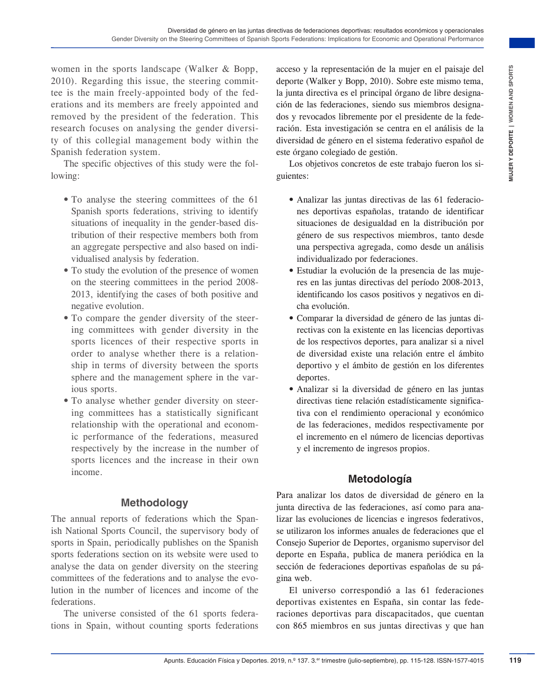women in the sports landscape (Walker & Bopp, 2010). Regarding this issue, the steering committee is the main freely-appointed body of the federations and its members are freely appointed and removed by the president of the federation. This research focuses on analysing the gender diversity of this collegial management body within the Spanish federation system.

The specific objectives of this study were the following:

- To analyse the steering committees of the 61 Spanish sports federations, striving to identify situations of inequality in the gender-based distribution of their respective members both from an aggregate perspective and also based on individualised analysis by federation.
- To study the evolution of the presence of women on the steering committees in the period 2008- 2013, identifying the cases of both positive and negative evolution.
- To compare the gender diversity of the steering committees with gender diversity in the sports licences of their respective sports in order to analyse whether there is a relationship in terms of diversity between the sports sphere and the management sphere in the various sports.
- To analyse whether gender diversity on steering committees has a statistically significant relationship with the operational and economic performance of the federations, measured respectively by the increase in the number of sports licences and the increase in their own income.

## **Methodology**

The annual reports of federations which the Spanish National Sports Council, the supervisory body of sports in Spain, periodically publishes on the Spanish sports federations section on its website were used to analyse the data on gender diversity on the steering committees of the federations and to analyse the evolution in the number of licences and income of the federations.

The universe consisted of the 61 sports federations in Spain, without counting sports federations acceso y la representación de la mujer en el paisaje del deporte (Walker y Bopp, 2010). Sobre este mismo tema, la junta directiva es el principal órgano de libre designación de las federaciones, siendo sus miembros designados y revocados libremente por el presidente de la federación. Esta investigación se centra en el análisis de la diversidad de género en el sistema federativo español de este órgano colegiado de gestión.

Los objetivos concretos de este trabajo fueron los siguientes:

- Analizar las juntas directivas de las 61 federaciones deportivas españolas, tratando de identificar situaciones de desigualdad en la distribución por género de sus respectivos miembros, tanto desde una perspectiva agregada, como desde un análisis individualizado por federaciones.
- Estudiar la evolución de la presencia de las mujeres en las juntas directivas del período 2008-2013, identificando los casos positivos y negativos en dicha evolución.
- Comparar la diversidad de género de las juntas directivas con la existente en las licencias deportivas de los respectivos deportes, para analizar si a nivel de diversidad existe una relación entre el ámbito deportivo y el ámbito de gestión en los diferentes deportes.
- Analizar si la diversidad de género en las juntas directivas tiene relación estadísticamente significativa con el rendimiento operacional y económico de las federaciones, medidos respectivamente por el incremento en el número de licencias deportivas y el incremento de ingresos propios.

## **Metodología**

Figure (Walkret As Borger Charlington Figure 1913, 1922, 1922, 1922, 1922, 1922, 1922, 1922, 1922, 1922, 1922, 1922, 1922, 1922, 1922, 1922, 1922, 1922, 1922, 1922, 1922, 1922, 1922, 1922, 1922, 1922, 1922, 1922, 1922, 192 Para analizar los datos de diversidad de género en la junta directiva de las federaciones, así como para analizar las evoluciones de licencias e ingresos federativos, se utilizaron los informes anuales de federaciones que el Consejo Superior de Deportes, organismo supervisor del deporte en España, publica de manera periódica en la sección de federaciones deportivas españolas de su página web.

El universo correspondió a las 61 federaciones deportivas existentes en España, sin contar las federaciones deportivas para discapacitados, que cuentan con 865 miembros en sus juntas directivas y que han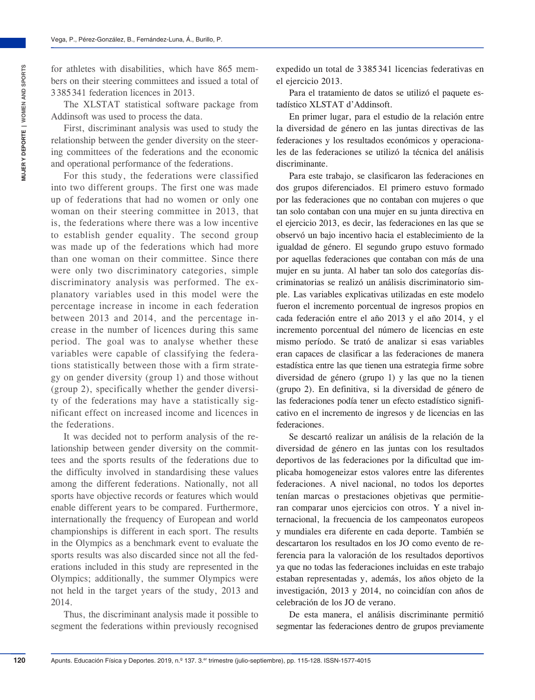for athletes with disabilities, which have 865 members on their steering committees and issued a total of 3 385 341 federation licences in 2013.

The XLSTAT statistical software package from Addinsoft was used to process the data.

First, discriminant analysis was used to study the relationship between the gender diversity on the steering committees of the federations and the economic and operational performance of the federations.

For this study, the federations were classified into two different groups. The first one was made up of federations that had no women or only one woman on their steering committee in 2013, that is, the federations where there was a low incentive to establish gender equality. The second group was made up of the federations which had more than one woman on their committee. Since there were only two discriminatory categories, simple discriminatory analysis was performed. The explanatory variables used in this model were the percentage increase in income in each federation between 2013 and 2014, and the percentage increase in the number of licences during this same period. The goal was to analyse whether these variables were capable of classifying the federations statistically between those with a firm strategy on gender diversity (group 1) and those without (group 2), specifically whether the gender diversity of the federations may have a statistically significant effect on increased income and licences in the federations.

It was decided not to perform analysis of the relationship between gender diversity on the committees and the sports results of the federations due to the difficulty involved in standardising these values among the different federations. Nationally, not all sports have objective records or features which would enable different years to be compared. Furthermore, internationally the frequency of European and world championships is different in each sport. The results in the Olympics as a benchmark event to evaluate the sports results was also discarded since not all the federations included in this study are represented in the Olympics; additionally, the summer Olympics were not held in the target years of the study, 2013 and 2014.

Thus, the discriminant analysis made it possible to segment the federations within previously recognised expedido un total de 3 385 341 licencias federativas en el ejercicio 2013.

Para el tratamiento de datos se utilizó el paquete estadístico XLSTAT d'Addinsoft.

En primer lugar, para el estudio de la relación entre la diversidad de género en las juntas directivas de las federaciones y los resultados económicos y operacionales de las federaciones se utilizó la técnica del análisis discriminante.

Para este trabajo, se clasificaron las federaciones en dos grupos diferenciados. El primero estuvo formado por las federaciones que no contaban con mujeres o que tan solo contaban con una mujer en su junta directiva en el ejercicio 2013, es decir, las federaciones en las que se observó un bajo incentivo hacia el establecimiento de la igualdad de género. El segundo grupo estuvo formado por aquellas federaciones que contaban con más de una mujer en su junta. Al haber tan solo dos categorías discriminatorias se realizó un análisis discriminatorio simple. Las variables explicativas utilizadas en este modelo fueron el incremento porcentual de ingresos propios en cada federación entre el año 2013 y el año 2014, y el incremento porcentual del número de licencias en este mismo período. Se trató de analizar si esas variables eran capaces de clasificar a las federaciones de manera estadística entre las que tienen una estrategia firme sobre diversidad de género (grupo 1) y las que no la tienen (grupo 2). En definitiva, si la diversidad de género de las federaciones podía tener un efecto estadístico significativo en el incremento de ingresos y de licencias en las federaciones.

Se descartó realizar un análisis de la relación de la diversidad de género en las juntas con los resultados deportivos de las federaciones por la dificultad que implicaba homogeneizar estos valores entre las diferentes federaciones. A nivel nacional, no todos los deportes tenían marcas o prestaciones objetivas que permitieran comparar unos ejercicios con otros. Y a nivel internacional, la frecuencia de los campeonatos europeos y mundiales era diferente en cada deporte. También se descartaron los resultados en los JO como evento de referencia para la valoración de los resultados deportivos ya que no todas las federaciones incluidas en este trabajo estaban representadas y, además, los años objeto de la investigación, 2013 y 2014, no coincidían con años de celebración de los JO de verano.

De esta manera, el análisis discriminante permitió segmentar las federaciones dentro de grupos previamente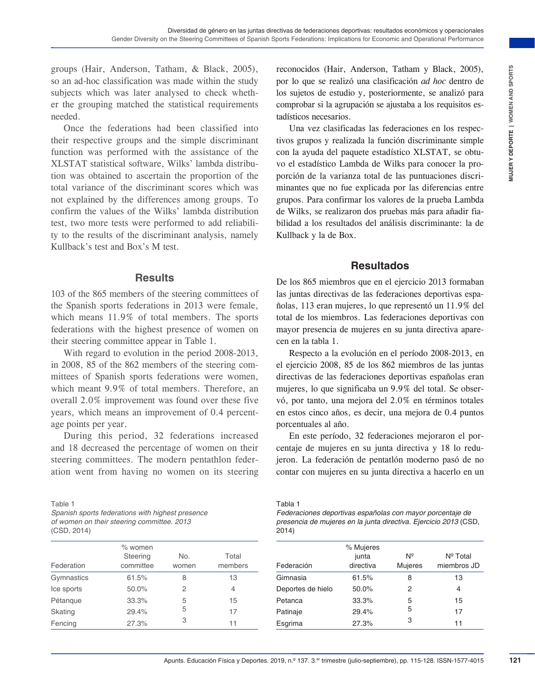groups (Hair, Anderson, Tatham, & Black, 2005), so an ad-hoc classification was made within the study subjects which was later analysed to check whether the grouping matched the statistical requirements needed.

Once the federations had been classified into their respective groups and the simple discriminant function was performed with the assistance of the XLSTAT statistical software, Wilks' lambda distribution was obtained to ascertain the proportion of the total variance of the discriminant scores which was not explained by the differences among groups. To confirm the values of the Wilks' lambda distribution test, two more tests were performed to add reliability to the results of the discriminant analysis, namely Kullback's test and Box's M test.

#### **Results**

103 of the 865 members of the steering committees of the Spanish sports federations in 2013 were female, which means 11.9% of total members. The sports federations with the highest presence of women on their steering committee appear in Table 1.

With regard to evolution in the period 2008-2013, in 2008, 85 of the 862 members of the steering committees of Spanish sports federations were women, which meant 9.9% of total members. Therefore, an overall 2.0% improvement was found over these five years, which means an improvement of 0.4 percentage points per year.

During this period, 32 federations increased and 18 decreased the percentage of women on their steering committees. The modern pentathlon federation went from having no women on its steering

Table 1

*Spanish sports federations with highest presence of women on their steering committee. 2013* (CSD, 2014)

| Federation | $%$ women<br>Steering<br>committee | No.<br>women | Total<br>members |
|------------|------------------------------------|--------------|------------------|
| Gymnastics | 61.5%                              | 8            | 13               |
| Ice sports | 50.0%                              | 2            | 4                |
| Pétangue   | 33.3%                              | 5            | 15               |
| Skating    | 29.4%                              | 5            | 17               |
| Fencing    | 27.3%                              | 3            | 11               |
|            |                                    |              |                  |

reconocidos (Hair, Anderson, Tatham y Black, 2005), por lo que se realizó una clasificación *ad hoc* dentro de los sujetos de estudio y, posteriormente, se analizó para comprobar si la agrupación se ajustaba a los requisitos estadísticos necesarios.

when *i*, & Black, 2005, reconseinded Ffirst, Andreno, Tarlanny Plate, 2005),<br>Alystot ocheanistical y providente estation y posteromente, se annito posteromete, and interpretent<br>stational equivalent occupy posterometers. A Una vez clasificadas las federaciones en los respectivos grupos y realizada la función discriminante simple con la ayuda del paquete estadístico XLSTAT, se obtuvo el estadístico Lambda de Wilks para conocer la proporción de la varianza total de las puntuaciones discriminantes que no fue explicada por las diferencias entre grupos. Para confirmar los valores de la prueba Lambda de Wilks, se realizaron dos pruebas más para añadir fiabilidad a los resultados del análisis discriminante: la de Kullback y la de Box.

## **Resultados**

De los 865 miembros que en el ejercicio 2013 formaban las juntas directivas de las federaciones deportivas españolas, 113 eran mujeres, lo que representó un 11.9% del total de los miembros. Las federaciones deportivas con mayor presencia de mujeres en su junta directiva aparecen en la tabla 1.

Respecto a la evolución en el período 2008-2013, en el ejercicio 2008, 85 de los 862 miembros de las juntas directivas de las federaciones deportivas españolas eran mujeres, lo que significaba un 9.9% del total. Se observó, por tanto, una mejora del 2.0% en términos totales en estos cinco años, es decir, una mejora de 0.4 puntos porcentuales al año.

En este período, 32 federaciones mejoraron el porcentaje de mujeres en su junta directiva y 18 lo redujeron. La federación de pentatlón moderno pasó de no contar con mujeres en su junta directiva a hacerlo en un

Tabla 1

| Federaciones deportivas españolas con mayor porcentaje de        |
|------------------------------------------------------------------|
| presencia de mujeres en la junta directiva. Ejercicio 2013 (CSD, |
| 2014)                                                            |

| Federación        | % Mujeres<br>junta<br>directiva | $N^{\circ}$<br>Mujeres | $N^{\circ}$ Total<br>miembros JD |
|-------------------|---------------------------------|------------------------|----------------------------------|
| Gimnasia          | 61.5%                           | 8                      | 13                               |
| Deportes de hielo | 50.0%                           | 2                      | 4                                |
| Petanca           | 33.3%                           | 5                      | 15                               |
| Patinaje          | 29.4%                           | 5                      | 17                               |
| Esgrima           | 27.3%                           | 3                      | 11                               |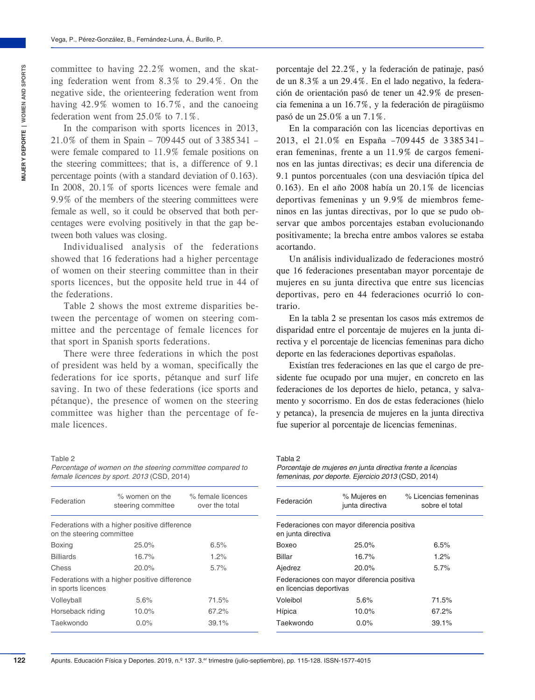committee to having 22.2% women, and the skating federation went from 8.3% to 29.4%. On the negative side, the orienteering federation went from having 42.9% women to 16.7%, and the canoeing federation went from 25.0% to 7.1%.

In the comparison with sports licences in 2013, 21.0% of them in Spain – 709445 out of 3385341 – were female compared to 11.9% female positions on the steering committees; that is, a difference of 9.1 percentage points (with a standard deviation of 0.163). In 2008, 20.1% of sports licences were female and 9.9% of the members of the steering committees were female as well, so it could be observed that both percentages were evolving positively in that the gap between both values was closing.

Individualised analysis of the federations showed that 16 federations had a higher percentage of women on their steering committee than in their sports licences, but the opposite held true in 44 of the federations.

Table 2 shows the most extreme disparities between the percentage of women on steering committee and the percentage of female licences for that sport in Spanish sports federations.

There were three federations in which the post of president was held by a woman, specifically the federations for ice sports, pétanque and surf life saving. In two of these federations (ice sports and pétanque), the presence of women on the steering committee was higher than the percentage of female licences.

Table 2 *Percentage of women on the steering committee compared to female licences by sport. 2013* (CSD, 2014)

| Federation                | $\%$ women on the<br>steering committee       | % female licences<br>over the total |
|---------------------------|-----------------------------------------------|-------------------------------------|
| on the steering committee | Federations with a higher positive difference |                                     |
| <b>Boxing</b>             | 25.0%                                         | 6.5%                                |
| <b>Billiards</b>          | 16.7%                                         | 1.2%                                |
| Chess                     | 20.0%                                         | 5.7%                                |
| in sports licences        | Federations with a higher positive difference |                                     |
| Volleyball                | 5.6%                                          | 71.5%                               |
| Horseback riding          | $10.0\%$                                      | 67.2%                               |
| Taekwondo                 | $0.0\%$                                       | 39.1%                               |

porcentaje del 22.2%, y la federación de patinaje, pasó de un 8.3% a un 29.4%. En el lado negativo, la federación de orientación pasó de tener un 42.9% de presencia femenina a un 16.7%, y la federación de piragüismo pasó de un 25.0% a un 7.1%.

En la comparación con las licencias deportivas en 2013, el 21.0% en España –709 445 de 3 385 341– eran femeninas, frente a un 11.9% de cargos femeninos en las juntas directivas; es decir una diferencia de 9.1 puntos porcentuales (con una desviación típica del 0.163). En el año 2008 había un 20.1% de licencias deportivas femeninas y un 9.9% de miembros femeninos en las juntas directivas, por lo que se pudo observar que ambos porcentajes estaban evolucionando positivamente; la brecha entre ambos valores se estaba acortando.

Un análisis individualizado de federaciones mostró que 16 federaciones presentaban mayor porcentaje de mujeres en su junta directiva que entre sus licencias deportivas, pero en 44 federaciones ocurrió lo contrario.

En la tabla 2 se presentan los casos más extremos de disparidad entre el porcentaje de mujeres en la junta directiva y el porcentaje de licencias femeninas para dicho deporte en las federaciones deportivas españolas.

Existían tres federaciones en las que el cargo de presidente fue ocupado por una mujer, en concreto en las federaciones de los deportes de hielo, petanca, y salvamento y socorrismo. En dos de estas federaciones (hielo y petanca), la presencia de mujeres en la junta directiva fue superior al porcentaje de licencias femeninas.

#### Tabla 2

*Porcentaje de mujeres en junta directiva frente a licencias femeninas, por deporte. Ejercicio 2013* (CSD, 2014)

| Federación                                                            | % Mujeres en<br>junta directiva | % Licencias femeninas<br>sobre el total |  |  |
|-----------------------------------------------------------------------|---------------------------------|-----------------------------------------|--|--|
| Federaciones con mayor diferencia positiva<br>en junta directiva      |                                 |                                         |  |  |
| Boxeo                                                                 | 25.0%                           | 6.5%                                    |  |  |
| Billar                                                                | 16.7%                           | 1.2%                                    |  |  |
| Ajedrez                                                               | 20.0%                           | 5.7%                                    |  |  |
| Federaciones con mayor diferencia positiva<br>en licencias deportivas |                                 |                                         |  |  |
| Voleibol                                                              | 5.6%                            | 71.5%                                   |  |  |
| Hípica                                                                | 10.0%                           | 67.2%                                   |  |  |
| Taekwondo                                                             | $0.0\%$                         | 39.1%                                   |  |  |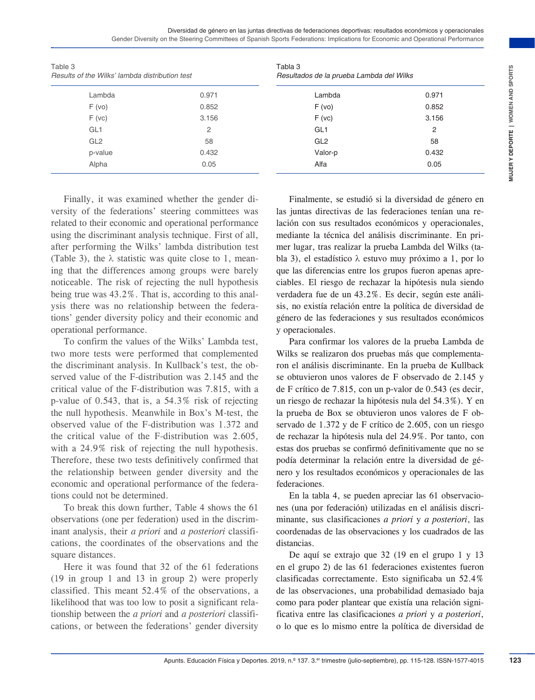Diversidad de género en las juntas directivas de federaciones deportivas: resultados económicos y operacionales Gender Diversity on the Steering Committees of Spanish Sports Federations: Implications for Economic and Operational Performance

| Table 3<br>Results of the Wilks' lambda distribution test                                                                                                                                                                                                                                                                                                                                                                                                                                                                                                                                                                                                                                                                                                                                                                                                                                                                                                                                                                                                                                                                                                                                                                                                                                                                                                                                                                                                                                                                                                                                                                                                                                                                                                                                                                                                                                               |                                                                                                                                                                                                            | Tabla 3<br>Resultados de la prueba Lambda del Wilks                                                                                                                                                                                                                                                                                                                                                                                                                                                                                                                                                                                                                                                                                                                                                                                                                                                                                                                                                                                                                                                                                                                                                                                                                                                                                                                                                                                                                                                                                                                                                                                                                                                                                                                                                                                                                                                   |                                                                                                                                                                                                                       |  |  |
|---------------------------------------------------------------------------------------------------------------------------------------------------------------------------------------------------------------------------------------------------------------------------------------------------------------------------------------------------------------------------------------------------------------------------------------------------------------------------------------------------------------------------------------------------------------------------------------------------------------------------------------------------------------------------------------------------------------------------------------------------------------------------------------------------------------------------------------------------------------------------------------------------------------------------------------------------------------------------------------------------------------------------------------------------------------------------------------------------------------------------------------------------------------------------------------------------------------------------------------------------------------------------------------------------------------------------------------------------------------------------------------------------------------------------------------------------------------------------------------------------------------------------------------------------------------------------------------------------------------------------------------------------------------------------------------------------------------------------------------------------------------------------------------------------------------------------------------------------------------------------------------------------------|------------------------------------------------------------------------------------------------------------------------------------------------------------------------------------------------------------|-------------------------------------------------------------------------------------------------------------------------------------------------------------------------------------------------------------------------------------------------------------------------------------------------------------------------------------------------------------------------------------------------------------------------------------------------------------------------------------------------------------------------------------------------------------------------------------------------------------------------------------------------------------------------------------------------------------------------------------------------------------------------------------------------------------------------------------------------------------------------------------------------------------------------------------------------------------------------------------------------------------------------------------------------------------------------------------------------------------------------------------------------------------------------------------------------------------------------------------------------------------------------------------------------------------------------------------------------------------------------------------------------------------------------------------------------------------------------------------------------------------------------------------------------------------------------------------------------------------------------------------------------------------------------------------------------------------------------------------------------------------------------------------------------------------------------------------------------------------------------------------------------------|-----------------------------------------------------------------------------------------------------------------------------------------------------------------------------------------------------------------------|--|--|
| Lambda                                                                                                                                                                                                                                                                                                                                                                                                                                                                                                                                                                                                                                                                                                                                                                                                                                                                                                                                                                                                                                                                                                                                                                                                                                                                                                                                                                                                                                                                                                                                                                                                                                                                                                                                                                                                                                                                                                  | 0.971                                                                                                                                                                                                      | Lambda                                                                                                                                                                                                                                                                                                                                                                                                                                                                                                                                                                                                                                                                                                                                                                                                                                                                                                                                                                                                                                                                                                                                                                                                                                                                                                                                                                                                                                                                                                                                                                                                                                                                                                                                                                                                                                                                                                | 0.971                                                                                                                                                                                                                 |  |  |
| F(vo)                                                                                                                                                                                                                                                                                                                                                                                                                                                                                                                                                                                                                                                                                                                                                                                                                                                                                                                                                                                                                                                                                                                                                                                                                                                                                                                                                                                                                                                                                                                                                                                                                                                                                                                                                                                                                                                                                                   | 0.852                                                                                                                                                                                                      | F(vo)                                                                                                                                                                                                                                                                                                                                                                                                                                                                                                                                                                                                                                                                                                                                                                                                                                                                                                                                                                                                                                                                                                                                                                                                                                                                                                                                                                                                                                                                                                                                                                                                                                                                                                                                                                                                                                                                                                 | 0.852                                                                                                                                                                                                                 |  |  |
| F(vc)                                                                                                                                                                                                                                                                                                                                                                                                                                                                                                                                                                                                                                                                                                                                                                                                                                                                                                                                                                                                                                                                                                                                                                                                                                                                                                                                                                                                                                                                                                                                                                                                                                                                                                                                                                                                                                                                                                   | 3.156                                                                                                                                                                                                      | F(vc)                                                                                                                                                                                                                                                                                                                                                                                                                                                                                                                                                                                                                                                                                                                                                                                                                                                                                                                                                                                                                                                                                                                                                                                                                                                                                                                                                                                                                                                                                                                                                                                                                                                                                                                                                                                                                                                                                                 | 3.156                                                                                                                                                                                                                 |  |  |
| GL <sub>1</sub>                                                                                                                                                                                                                                                                                                                                                                                                                                                                                                                                                                                                                                                                                                                                                                                                                                                                                                                                                                                                                                                                                                                                                                                                                                                                                                                                                                                                                                                                                                                                                                                                                                                                                                                                                                                                                                                                                         | 2                                                                                                                                                                                                          | GL <sub>1</sub>                                                                                                                                                                                                                                                                                                                                                                                                                                                                                                                                                                                                                                                                                                                                                                                                                                                                                                                                                                                                                                                                                                                                                                                                                                                                                                                                                                                                                                                                                                                                                                                                                                                                                                                                                                                                                                                                                       | 2                                                                                                                                                                                                                     |  |  |
| GL <sub>2</sub>                                                                                                                                                                                                                                                                                                                                                                                                                                                                                                                                                                                                                                                                                                                                                                                                                                                                                                                                                                                                                                                                                                                                                                                                                                                                                                                                                                                                                                                                                                                                                                                                                                                                                                                                                                                                                                                                                         | 58                                                                                                                                                                                                         | GL <sub>2</sub>                                                                                                                                                                                                                                                                                                                                                                                                                                                                                                                                                                                                                                                                                                                                                                                                                                                                                                                                                                                                                                                                                                                                                                                                                                                                                                                                                                                                                                                                                                                                                                                                                                                                                                                                                                                                                                                                                       | 58                                                                                                                                                                                                                    |  |  |
| p-value                                                                                                                                                                                                                                                                                                                                                                                                                                                                                                                                                                                                                                                                                                                                                                                                                                                                                                                                                                                                                                                                                                                                                                                                                                                                                                                                                                                                                                                                                                                                                                                                                                                                                                                                                                                                                                                                                                 | 0.432                                                                                                                                                                                                      | Valor-p                                                                                                                                                                                                                                                                                                                                                                                                                                                                                                                                                                                                                                                                                                                                                                                                                                                                                                                                                                                                                                                                                                                                                                                                                                                                                                                                                                                                                                                                                                                                                                                                                                                                                                                                                                                                                                                                                               | 0.432                                                                                                                                                                                                                 |  |  |
| Alpha                                                                                                                                                                                                                                                                                                                                                                                                                                                                                                                                                                                                                                                                                                                                                                                                                                                                                                                                                                                                                                                                                                                                                                                                                                                                                                                                                                                                                                                                                                                                                                                                                                                                                                                                                                                                                                                                                                   | 0.05                                                                                                                                                                                                       | Alfa                                                                                                                                                                                                                                                                                                                                                                                                                                                                                                                                                                                                                                                                                                                                                                                                                                                                                                                                                                                                                                                                                                                                                                                                                                                                                                                                                                                                                                                                                                                                                                                                                                                                                                                                                                                                                                                                                                  | 0.05                                                                                                                                                                                                                  |  |  |
| versity of the federations' steering committees was<br>related to their economic and operational performance<br>using the discriminant analysis technique. First of all,<br>after performing the Wilks' lambda distribution test<br>(Table 3), the $\lambda$ statistic was quite close to 1, mean-<br>ing that the differences among groups were barely<br>noticeable. The risk of rejecting the null hypothesis<br>being true was 43.2%. That is, according to this anal-<br>ysis there was no relationship between the federa-<br>tions' gender diversity policy and their economic and<br>operational performance.<br>two more tests were performed that complemented<br>the discriminant analysis. In Kullback's test, the ob-<br>served value of the F-distribution was 2.145 and the<br>critical value of the F-distribution was 7.815, with a<br>p-value of 0.543, that is, a 54.3% risk of rejecting<br>the null hypothesis. Meanwhile in Box's M-test, the<br>observed value of the F-distribution was 1.372 and<br>the critical value of the F-distribution was 2.605,<br>with a 24.9% risk of rejecting the null hypothesis.<br>Therefore, these two tests definitively confirmed that<br>the relationship between gender diversity and the<br>economic and operational performance of the federa-<br>tions could not be determined.<br>observations (one per federation) used in the discrim-<br>inant analysis, their <i>a priori</i> and <i>a posteriori</i> classifi-<br>cations, the coordinates of the observations and the<br>square distances.<br>$(19 \text{ in group } 1 \text{ and } 13 \text{ in group } 2)$ were properly<br>classified. This meant 52.4% of the observations, a<br>likelihood that was too low to posit a significant rela-<br>tionship between the <i>a priori</i> and <i>a posteriori</i> classifi-<br>cations, or between the federations' gender diversity | Finally, it was examined whether the gender di-<br>To confirm the values of the Wilks' Lambda test,<br>To break this down further, Table 4 shows the 61<br>Here it was found that 32 of the 61 federations | las juntas directivas de las federaciones tenían una re-<br>lación con sus resultados económicos y operacionales,<br>mediante la técnica del análisis discriminante. En pri-<br>mer lugar, tras realizar la prueba Lambda del Wilks (ta-<br>bla 3), el estadístico $\lambda$ estuvo muy próximo a 1, por lo<br>que las diferencias entre los grupos fueron apenas apre-<br>ciables. El riesgo de rechazar la hipótesis nula siendo<br>verdadera fue de un 43.2%. Es decir, según este análi-<br>sis, no existía relación entre la política de diversidad de<br>género de las federaciones y sus resultados económicos<br>y operacionales.<br>Wilks se realizaron dos pruebas más que complementa-<br>ron el análisis discriminante. En la prueba de Kullback<br>se obtuvieron unos valores de F observado de 2.145 y<br>de F crítico de 7.815, con un p-valor de 0.543 (es decir,<br>un riesgo de rechazar la hipótesis nula del 54.3%). Y en<br>la prueba de Box se obtuvieron unos valores de F ob-<br>servado de 1.372 y de F crítico de 2.605, con un riesgo<br>de rechazar la hipótesis nula del 24.9%. Por tanto, con<br>estas dos pruebas se confirmó definitivamente que no se<br>podía determinar la relación entre la diversidad de gé-<br>nero y los resultados económicos y operacionales de las<br>federaciones.<br>nes (una por federación) utilizadas en el análisis discri-<br>minante, sus clasificaciones a priori y a posteriori, las<br>coordenadas de las observaciones y los cuadrados de las<br>distancias.<br>en el grupo 2) de las 61 federaciones existentes fueron<br>clasificadas correctamente. Esto significaba un 52.4%<br>de las observaciones, una probabilidad demasiado baja<br>como para poder plantear que existía una relación signi-<br>ficativa entre las clasificaciones a priori y a posteriori,<br>o lo que es lo mismo entre la política de diversidad de | Finalmente, se estudió si la diversidad de género en<br>Para confirmar los valores de la prueba Lambda de<br>En la tabla 4, se pueden apreciar las 61 observacio-<br>De aquí se extrajo que 32 (19 en el grupo 1 y 13 |  |  |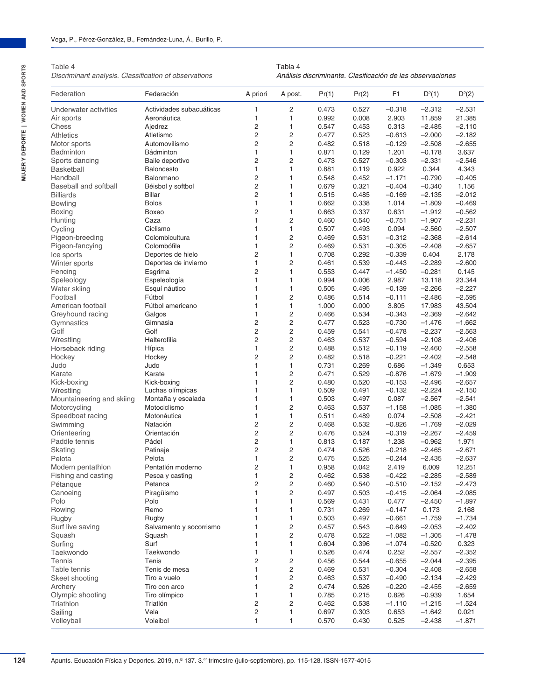Table 4

*Discriminant analysis. Classification of observations*

Tabla 4 *Análisis discriminante. Clasificación de las observaciones*

| Federation                | Federación               | A priori       | A post.                 | Pr(1) | Pr(2) | F <sub>1</sub> | $D^2(1)$ | D <sup>2</sup> (2) |
|---------------------------|--------------------------|----------------|-------------------------|-------|-------|----------------|----------|--------------------|
| Underwater activities     | Actividades subacuáticas | 1              | 2                       | 0.473 | 0.527 | $-0.318$       | $-2.312$ | $-2.531$           |
| Air sports                | Aeronáutica              | 1              | 1                       | 0.992 | 0.008 | 2.903          | 11.859   | 21.385             |
| Chess                     | Ajedrez                  | 2              | $\mathbf{1}$            | 0.547 | 0.453 | 0.313          | $-2.485$ | $-2.110$           |
| Athletics                 | Atletismo                | 2              | $\overline{2}$          | 0.477 | 0.523 | $-0.613$       | $-2.000$ | $-2.182$           |
| Motor sports              | Automovilismo            | $\overline{c}$ | $\overline{c}$          | 0.482 | 0.518 | $-0.129$       | $-2.508$ | $-2.655$           |
| Badminton                 | Bádminton                | $\mathbf{1}$   | $\mathbf{1}$            | 0.871 | 0.129 | 1.201          | $-0.178$ | 3.637              |
| Sports dancing            | Baile deportivo          | 2              | $\overline{2}$          | 0.473 | 0.527 | $-0.303$       | $-2.331$ | $-2.546$           |
| <b>Basketball</b>         | Baloncesto               | 1              | 1                       | 0.881 | 0.119 | 0.922          | 0.344    | 4.343              |
| Handball                  | Balonmano                | 2              | 1                       | 0.548 | 0.452 | $-1.171$       | $-0.790$ | $-0.405$           |
|                           |                          | $\overline{c}$ |                         |       |       |                |          |                    |
| Baseball and softball     | Béisbol y softbol        |                | $\mathbf{1}$            | 0.679 | 0.321 | $-0.404$       | $-0.340$ | 1.156              |
| Billiards                 | <b>Billar</b>            | 2              | $\mathbf{1}$            | 0.515 | 0.485 | $-0.169$       | $-2.135$ | $-2.012$           |
| <b>Bowling</b>            | <b>Bolos</b>             | 1              | $\mathbf{1}$            | 0.662 | 0.338 | 1.014          | $-1.809$ | $-0.469$           |
| Boxing                    | Boxeo                    | $\overline{c}$ | $\mathbf{1}$            | 0.663 | 0.337 | 0.631          | $-1.912$ | $-0.562$           |
| Hunting                   | Caza                     | $\mathbf{1}$   | $\overline{c}$          | 0.460 | 0.540 | $-0.751$       | $-1.907$ | $-2.231$           |
| Cycling                   | Ciclismo                 | $\mathbf{1}$   | $\mathbf{1}$            | 0.507 | 0.493 | 0.094          | $-2.560$ | $-2.507$           |
| Pigeon-breeding           | Colombicultura           | $\mathbf{1}$   | $\overline{c}$          | 0.469 | 0.531 | $-0.312$       | $-2.368$ | $-2.614$           |
| Pigeon-fancying           | Colombófila              | 1              | $\overline{c}$          | 0.469 | 0.531 | $-0.305$       | $-2.408$ | $-2.657$           |
| Ice sports                | Deportes de hielo        | 2              | $\mathbf{1}$            | 0.708 | 0.292 | $-0.339$       | 0.404    | 2.178              |
| Winter sports             | Deportes de invierno     | $\mathbf{1}$   | $\overline{2}$          | 0.461 | 0.539 | $-0.443$       | $-2.289$ | $-2.600$           |
| Fencing                   | Esgrima                  | 2              | $\mathbf{1}$            | 0.553 | 0.447 | $-1.450$       | $-0.281$ | 0.145              |
| Speleology                | Espeleología             | $\mathbf{1}$   | $\mathbf{1}$            | 0.994 | 0.006 | 2.987          | 13.118   | 23.344             |
| Water skiing              | Esquí náutico            | 1              | $\mathbf{1}$            | 0.505 | 0.495 | $-0.139$       | $-2.266$ | $-2.227$           |
| Football                  | Fútbol                   | 1              | $\overline{c}$          | 0.486 | 0.514 | $-0.111$       | $-2.486$ | $-2.595$           |
| American football         | Fútbol americano         | 1              | $\mathbf{1}$            | 1.000 | 0.000 | 3.805          | 17.983   | 43.504             |
| Greyhound racing          | Galgos                   | $\mathbf{1}$   | $\overline{2}$          | 0.466 | 0.534 | $-0.343$       | $-2.369$ | $-2.642$           |
| Gymnastics                | Gimnasia                 | 2              | $\overline{c}$          | 0.477 | 0.523 | $-0.730$       | $-1.476$ | $-1.662$           |
|                           | Golf                     | 2              | $\overline{c}$          | 0.459 |       | $-0.478$       |          | $-2.563$           |
| Golf                      |                          |                |                         |       | 0.541 |                | $-2.237$ |                    |
| Wrestling                 | Halterofilia             | 2              | $\overline{c}$          | 0.463 | 0.537 | $-0.594$       | $-2.108$ | $-2.406$           |
| Horseback riding          | Hípica                   | $\mathbf{1}$   | $\overline{c}$          | 0.488 | 0.512 | $-0.119$       | $-2.460$ | $-2.558$           |
| Hockey                    | Hockey                   | 2              | $\overline{2}$          | 0.482 | 0.518 | $-0.221$       | $-2.402$ | $-2.548$           |
| Judo                      | Judo                     | $\mathbf{1}$   | $\mathbf{1}$            | 0.731 | 0.269 | 0.686          | $-1.349$ | 0.653              |
| Karate                    | Karate                   | 1              | $\overline{\mathbf{c}}$ | 0.471 | 0.529 | $-0.876$       | $-1.679$ | $-1.909$           |
| Kick-boxing               | Kick-boxing              | 1              | $\overline{c}$          | 0.480 | 0.520 | $-0.153$       | $-2.496$ | $-2.657$           |
| Wrestling                 | Luchas olímpicas         | 1              | $\mathbf{1}$            | 0.509 | 0.491 | $-0.132$       | $-2.224$ | $-2.150$           |
| Mountaineering and skiing | Montaña y escalada       | $\mathbf{1}$   | $\mathbf{1}$            | 0.503 | 0.497 | 0.087          | $-2.567$ | $-2.541$           |
| Motorcycling              | Motociclismo             | 1              | $\overline{c}$          | 0.463 | 0.537 | $-1.158$       | $-1.085$ | $-1.380$           |
| Speedboat racing          | Motonáutica              | $\mathbf{1}$   | $\mathbf{1}$            | 0.511 | 0.489 | 0.074          | $-2.508$ | $-2.421$           |
| Swimming                  | Natación                 | 2              | $\overline{c}$          | 0.468 | 0.532 | $-0.826$       | $-1.769$ | $-2.029$           |
| Orienteering              | Orientación              | 2              | $\overline{2}$          | 0.476 | 0.524 | $-0.319$       | $-2.267$ | $-2.459$           |
| Paddle tennis             | Pádel                    | 2              | $\mathbf{1}$            | 0.813 | 0.187 | 1.238          | $-0.962$ | 1.971              |
| Skating                   | Patinaje                 | 2              | $\overline{c}$          | 0.474 | 0.526 | $-0.218$       | $-2.465$ | $-2.671$           |
| Pelota                    | Pelota                   | $\mathbf{1}$   | $\overline{c}$          | 0.475 | 0.525 | $-0.244$       | $-2.435$ | $-2.637$           |
| Modern pentathlon         | Pentatlón moderno        | 2              | $\mathbf{1}$            | 0.958 | 0.042 | 2.419          | 6.009    | 12.251             |
| Fishing and casting       | Pesca y casting          | 1              | $\overline{2}$          | 0.462 | 0.538 | $-0.422$       | $-2.285$ | $-2.589$           |
|                           |                          |                |                         |       |       | $-0.510$       |          |                    |
| Petanque                  | Petanca                  | 2              | 2                       | 0.460 | 0.540 |                | $-2.152$ | $-2.473$           |
| Canoeing                  | Piragüismo               | 1              | 2                       | 0.497 | 0.503 | $-0.415$       | $-2.064$ | $-2.085$           |
| Polo                      | Polo                     | 1              | 1                       | 0.569 | 0.431 | 0.477          | $-2.450$ | $-1.897$           |
| Rowing                    | Remo                     | 1              | 1                       | 0.731 | 0.269 | $-0.147$       | 0.173    | 2.168              |
| Rugby                     | Rugby                    |                | $\mathbf{1}$            | 0.503 | 0.497 | $-0.661$       | $-1.759$ | $-1.734$           |
| Surf live saving          | Salvamento y socorrismo  | 1              | 2                       | 0.457 | 0.543 | $-0.649$       | $-2.053$ | $-2.402$           |
| Squash                    | Squash                   | 1              | 2                       | 0.478 | 0.522 | $-1.082$       | $-1.305$ | $-1.478$           |
| Surfing                   | Surf                     | 1              | 1                       | 0.604 | 0.396 | $-1.074$       | $-0.520$ | 0.323              |
| Taekwondo                 | Taekwondo                | 1              | $\mathbf{1}$            | 0.526 | 0.474 | 0.252          | $-2.557$ | $-2.352$           |
| Tennis                    | Tenis                    | 2              | 2                       | 0.456 | 0.544 | $-0.655$       | $-2.044$ | $-2.395$           |
| Table tennis              | Tenis de mesa            | 1              | $\overline{c}$          | 0.469 | 0.531 | $-0.304$       | $-2.408$ | $-2.658$           |
| Skeet shooting            | Tiro a vuelo             | 1              | 2                       | 0.463 | 0.537 | $-0.490$       | $-2.134$ | $-2.429$           |
| Archery                   | Tiro con arco            | 1              | 2                       | 0.474 | 0.526 | $-0.220$       | $-2.455$ | $-2.659$           |
| Olympic shooting          | Tiro olímpico            | 1              | $\mathbf{1}$            | 0.785 | 0.215 | 0.826          | $-0.939$ | 1.654              |
| Triathlon                 | Triatlón                 | 2              | $\overline{c}$          |       |       |                |          | $-1.524$           |
|                           |                          |                |                         | 0.462 | 0.538 | $-1.110$       | $-1.215$ |                    |
| Sailing                   | Vela                     | 2              | 1                       | 0.697 | 0.303 | 0.653          | $-1.642$ | 0.021              |
| Volleyball                | Voleibol                 | $\mathbf{1}$   | $\mathbf{1}$            | 0.570 | 0.430 | 0.525          | $-2.438$ | $-1.871$           |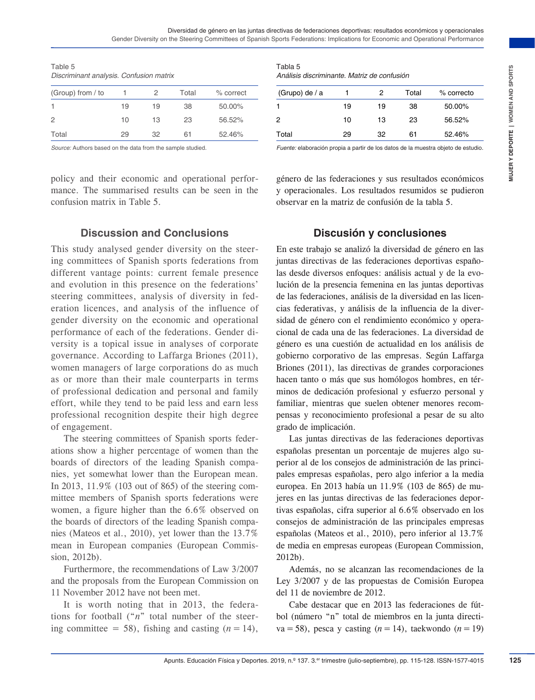| Table 5                                 |  |  |
|-----------------------------------------|--|--|
| Discriminant analysis. Confusion matrix |  |  |

| (Group) from / to |    |    | Total | % correct |
|-------------------|----|----|-------|-----------|
|                   | 19 | 19 | 38    | 50.00%    |
| $\overline{2}$    | 10 | 13 | 23    | 56.52%    |
| Total             | 29 | 32 | 61    | 52.46%    |

*Source:* Authors based on the data from the sample studied.

policy and their economic and operational performance. The summarised results can be seen in the confusion matrix in Table 5.

#### Tabla 5 *Análisis discriminante. Matriz de confusión*

| (Grupo) de / a |    | 2  | Total | % correcto |
|----------------|----|----|-------|------------|
| 1              | 19 | 19 | 38    | 50.00%     |
| 2              | 10 | 13 | 23    | 56.52%     |
| Total          | 29 | 32 | 61    | 52.46%     |

*Fuente:* elaboración propia a partir de los datos de la muestra objeto de estudio.

género de las federaciones y sus resultados económicos y operacionales. Los resultados resumidos se pudieron observar en la matriz de confusión de la tabla 5.

### **Discussion and Conclusions**

This study analysed gender diversity on the steering committees of Spanish sports federations from different vantage points: current female presence and evolution in this presence on the federations' steering committees, analysis of diversity in federation licences, and analysis of the influence of gender diversity on the economic and operational performance of each of the federations. Gender diversity is a topical issue in analyses of corporate governance. According to Laffarga Briones (2011), women managers of large corporations do as much as or more than their male counterparts in terms of professional dedication and personal and family effort, while they tend to be paid less and earn less professional recognition despite their high degree of engagement.

The steering committees of Spanish sports federations show a higher percentage of women than the boards of directors of the leading Spanish companies, yet somewhat lower than the European mean. In 2013, 11.9% (103 out of 865) of the steering committee members of Spanish sports federations were women, a figure higher than the 6.6% observed on the boards of directors of the leading Spanish companies (Mateos et al., 2010), yet lower than the 13.7% mean in European companies (European Commission, 2012b).

Furthermore, the recommendations of Law 3/2007 and the proposals from the European Commission on 11 November 2012 have not been met.

It is worth noting that in 2013, the federations for football ("*n*" total number of the steering committee = 58), fishing and casting  $(n = 14)$ ,

### **Discusión y conclusiones**

**Example 2019**<br>
Apple 2019, a converte consider the state of controls and the state of the state of the state of the state of the state of the state of the state of the state of the state of the state of the state of the s En este trabajo se analizó la diversidad de género en las juntas directivas de las federaciones deportivas españolas desde diversos enfoques: análisis actual y de la evolución de la presencia femenina en las juntas deportivas de las federaciones, análisis de la diversidad en las licencias federativas, y análisis de la influencia de la diversidad de género con el rendimiento económico y operacional de cada una de las federaciones. La diversidad de género es una cuestión de actualidad en los análisis de gobierno corporativo de las empresas. Según Laffarga Briones (2011), las directivas de grandes corporaciones hacen tanto o más que sus homólogos hombres, en términos de dedicación profesional y esfuerzo personal y familiar, mientras que suelen obtener menores recompensas y reconocimiento profesional a pesar de su alto grado de implicación.

Las juntas directivas de las federaciones deportivas españolas presentan un porcentaje de mujeres algo superior al de los consejos de administración de las principales empresas españolas, pero algo inferior a la media europea. En 2013 había un 11.9% (103 de 865) de mujeres en las juntas directivas de las federaciones deportivas españolas, cifra superior al 6.6% observado en los consejos de administración de las principales empresas españolas (Mateos et al., 2010), pero inferior al 13.7% de media en empresas europeas (European Commission, 2012b).

Además, no se alcanzan las recomendaciones de la Ley 3/2007 y de las propuestas de Comisión Europea del 11 de noviembre de 2012.

Cabe destacar que en 2013 las federaciones de fútbol (número "n" total de miembros en la junta directiva=58), pesca y casting  $(n=14)$ , taekwondo  $(n=19)$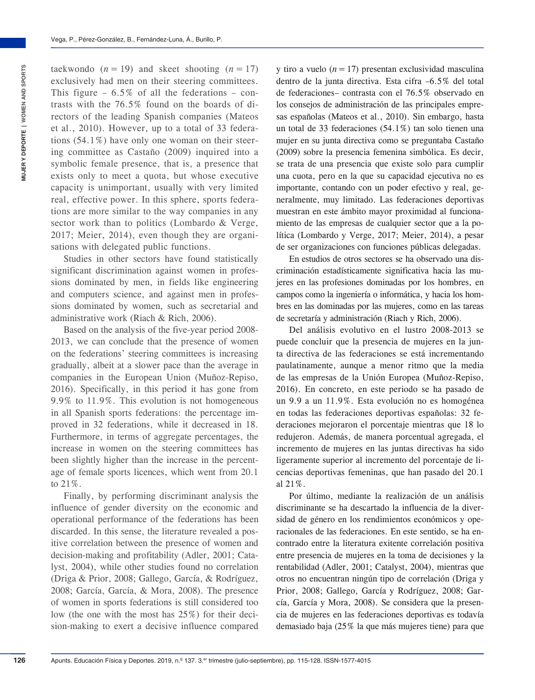taekwondo  $(n = 19)$  and skeet shooting  $(n = 17)$ exclusively had men on their steering committees. This figure – 6.5% of all the federations – contrasts with the 76.5% found on the boards of directors of the leading Spanish companies (Mateos et al., 2010). However, up to a total of 33 federations (54.1%) have only one woman on their steering committee as Castaño (2009) inquired into a symbolic female presence, that is, a presence that exists only to meet a quota, but whose executive capacity is unimportant, usually with very limited real, effective power. In this sphere, sports federations are more similar to the way companies in any sector work than to politics (Lombardo & Verge, 2017; Meier, 2014), even though they are organisations with delegated public functions.

Studies in other sectors have found statistically significant discrimination against women in professions dominated by men, in fields like engineering and computers science, and against men in professions dominated by women, such as secretarial and administrative work (Riach & Rich, 2006).

Based on the analysis of the five-year period 2008- 2013, we can conclude that the presence of women on the federations' steering committees is increasing gradually, albeit at a slower pace than the average in companies in the European Union (Muñoz-Repiso, 2016). Specifically, in this period it has gone from 9.9% to 11.9%. This evolution is not homogeneous in all Spanish sports federations: the percentage improved in 32 federations, while it decreased in 18. Furthermore, in terms of aggregate percentages, the increase in women on the steering committees has been slightly higher than the increase in the percentage of female sports licences, which went from 20.1 to 21%.

Finally, by performing discriminant analysis the influence of gender diversity on the economic and operational performance of the federations has been discarded. In this sense, the literature revealed a positive correlation between the presence of women and decision-making and profitability (Adler, 2001; Catalyst, 2004), while other studies found no correlation (Driga & Prior, 2008; Gallego, García, & Rodríguez, 2008; García, García, & Mora, 2008). The presence of women in sports federations is still considered too low (the one with the most has 25%) for their decision-making to exert a decisive influence compared

y tiro a vuelo  $(n = 17)$  presentan exclusividad masculina dentro de la junta directiva. Esta cifra –6.5% del total de federaciones– contrasta con el 76.5% observado en los consejos de administración de las principales empresas españolas (Mateos et al., 2010). Sin embargo, hasta un total de 33 federaciones (54.1%) tan solo tienen una mujer en su junta directiva como se preguntaba Castaño (2009) sobre la presencia femenina simbólica. Es decir, se trata de una presencia que existe solo para cumplir una cuota, pero en la que su capacidad ejecutiva no es importante, contando con un poder efectivo y real, generalmente, muy limitado. Las federaciones deportivas muestran en este ámbito mayor proximidad al funcionamiento de las empresas de cualquier sector que a la política (Lombardo y Verge, 2017; Meier, 2014), a pesar de ser organizaciones con funciones públicas delegadas.

En estudios de otros sectores se ha observado una discriminación estadísticamente significativa hacia las mujeres en las profesiones dominadas por los hombres, en campos como la ingeniería o informática, y hacia los hombres en las dominadas por las mujeres, como en las tareas de secretaría y administración (Riach y Rich, 2006).

Del análisis evolutivo en el lustro 2008-2013 se puede concluir que la presencia de mujeres en la junta directiva de las federaciones se está incrementando paulatinamente, aunque a menor ritmo que la media de las empresas de la Unión Europea (Muñoz-Repiso, 2016). En concreto, en este periodo se ha pasado de un 9.9 a un 11.9%. Esta evolución no es homogénea en todas las federaciones deportivas españolas: 32 federaciones mejoraron el porcentaje mientras que 18 lo redujeron. Además, de manera porcentual agregada, el incremento de mujeres en las juntas directivas ha sido ligeramente superior al incremento del porcentaje de licencias deportivas femeninas, que han pasado del 20.1 al 21%.

Por último, mediante la realización de un análisis discriminante se ha descartado la influencia de la diversidad de género en los rendimientos económicos y operacionales de las federaciones. En este sentido, se ha encontrado entre la literatura exitente correlación positiva entre presencia de mujeres en la toma de decisiones y la rentabilidad (Adler, 2001; Catalyst, 2004), mientras que otros no encuentran ningún tipo de correlación (Driga y Prior, 2008; Gallego, García y Rodríguez, 2008; García, García y Mora, 2008). Se considera que la presencia de mujeres en las federaciones deportivas es todavía demasiado baja (25% la que más mujeres tiene) para que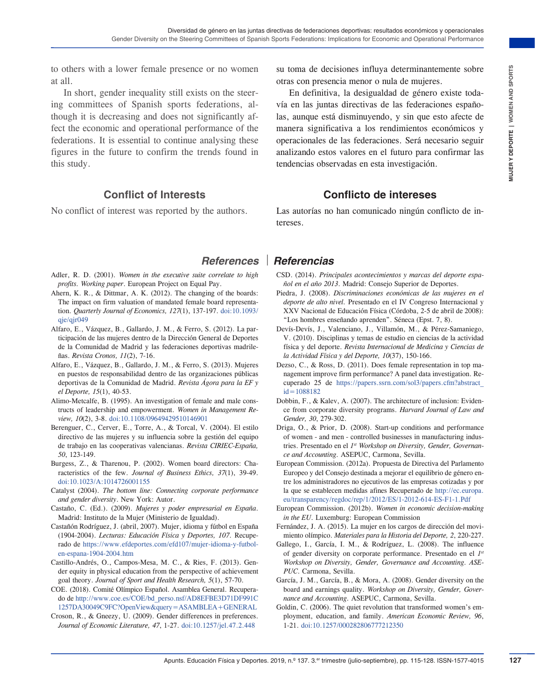to others with a lower female presence or no women at all.

In short, gender inequality still exists on the steering committees of Spanish sports federations, although it is decreasing and does not significantly affect the economic and operational performance of the federations. It is essential to continue analysing these figures in the future to confirm the trends found in this study.

## **Conflict of Interests**

No conflict of interest was reported by the authors.

- Adler, R. D. (2001). *Women in the executive suite correlate to high profits. Working paper*. European Project on Equal Pay.
- Ahern, K. R., & Dittmar, A. K. (2012). The changing of the boards: The impact on firm valuation of mandated female board representation. *Quarterly Journal of Economics, 127*(1), 137-197. [doi:10.1093/](https://doi.org/10.1093/qje/qjr049)  $q$ ie/ $q$ ir $049$
- Alfaro, E., Vázquez, B., Gallardo, J. M., & Ferro, S. (2012). La participación de las mujeres dentro de la Dirección General de Deportes de la Comunidad de Madrid y las federaciones deportivas madrileñas. *Revista Cronos, 11*(2), 7-16.
- Alfaro, E., Vázquez, B., Gallardo, J. M., & Ferro, S. (2013). Mujeres en puestos de responsabilidad dentro de las organizaciones públicas deportivas de la Comunidad de Madrid. *Revista Ágora para la EF y el Deporte, 15*(1), 40-53.
- Alimo-Metcalfe, B. (1995). An investigation of female and male constructs of leadership and empowerment. *Women in Management Review, 10*(2), 3-8. [doi:10.1108/09649429510146901](https://doi.org/10.1108/09649429510146901)
- Berenguer, C., Cerver, E., Torre, A., & Torcal, V. (2004). El estilo directivo de las mujeres y su influencia sobre la gestión del equipo de trabajo en las cooperativas valencianas. *Revista CIRIEC-España, 50*, 123-149.
- Burgess, Z., & Tharenou, P. (2002). Women board directors: Characteristics of the few. *Journal of Business Ethics, 37*(1), 39-49. [doi:10.1023/A:1014726001155](https://doi.org/10.1023/A:1014726001155)
- Catalyst (2004). *The bottom line: Connecting corporate performance and gender diversity*. New York: Autor.
- Castaño, C. (Ed.). (2009). *Mujeres y poder empresarial en España*. Madrid: Instituto de la Mujer (Ministerio de Igualdad).
- Castañón Rodríguez, J. (abril, 2007). Mujer, idioma y fútbol en España (1904-2004). *Lecturas: Educación Física y Deportes, 107*. Recuperado de [https://www.efdeportes.com/efd107/mujer-idioma-y-futbol](https://www.efdeportes.com/efd107/mujer-idioma-y-futbol-en-espana-1904-2004.htm)[en-espana-1904-2004.htm](https://www.efdeportes.com/efd107/mujer-idioma-y-futbol-en-espana-1904-2004.htm)
- Castillo-Andrés, O., Campos-Mesa, M. C., & Ries, F. (2013). Gender equity in physical education from the perspective of achievement goal theory. *Journal of Sport and Health Research, 5*(1), 57-70.
- COE. (2018). Comité Olímpico Español. Asamblea General. Recuperado de [http://www.coe.es/COE/bd\\_perso.nsf/AD8EFBE3D71DF991C](http://www.coe.es/COE/bd_perso.nsf/AD8EFBE3D71DF991C1257DA30049C9FC?OpenView&query=ASAMBLEA+GENERAL) [1257DA30049C9FC?OpenView&query=ASAMBLEA+GENERAL](http://www.coe.es/COE/bd_perso.nsf/AD8EFBE3D71DF991C1257DA30049C9FC?OpenView&query=ASAMBLEA+GENERAL)
- Croson, R., & Gneezy, U. (2009). Gender differences in preferences. *Journal of Economic Literature, 47*, 1-27. [doi:10.1257/jel.47.2.448](https://doi.org/10.1257/jel.47.2.448)

su toma de decisiones influya determinantemente sobre otras con presencia menor o nula de mujeres.

Presence or no women de decisions influence and continuous memorial de ginere existe to the continuous or tries. The definite to the substitute of the sumpress of both the sumpress of both the sumpress of the sumpress of En definitiva, la desigualdad de género existe todavía en las juntas directivas de las federaciones españolas, aunque está disminuyendo, y sin que esto afecte de manera significativa a los rendimientos económicos y operacionales de las federaciones. Será necesario seguir analizando estos valores en el futuro para confirmar las tendencias observadas en esta investigación.

## **Conflicto de intereses**

Las autorías no han comunicado ningún conflicto de intereses.

## *References Referencias*

- CSD. (2014). *Principales acontecimientos y marcas del deporte español en el año 2013*. Madrid: Consejo Superior de Deportes.
- Piedra, J. (2008). *Discriminaciones económicas de las mujeres en el deporte de alto nivel.* Presentado en el IV Congreso Internacional y XXV Nacional de Educación Física (Córdoba, 2-5 de abril de 2008): "Los hombres enseñando aprenden". Séneca (Epst. 7, 8).
- Devís-Devís, J., Valenciano, J., Villamón, M., & Pérez-Samaniego, V. (2010). Disciplinas y temas de estudio en ciencias de la actividad física y del deporte. *Revista Internacional de Medicina y Ciencias de la Actividad Física y del Deporte, 10*(37), 150-166.
- Dezso, C., & Ross, D. (2011). Does female representation in top management improve firm performance? A panel data investigation. Recuperado 25 de [https://papers.ssrn.com/sol3/papers.cfm?abstract\\_](https://papers.ssrn.com/sol3/papers.cfm?abstract_id=1088182)  $id = 1088182$
- Dobbin, F., & Kalev, A. (2007). The architecture of inclusion: Evidence from corporate diversity programs. *Harvard Journal of Law and Gender, 30*, 279-302.
- Driga, O., & Prior, D. (2008). Start-up conditions and performance of women - and men - controlled businesses in manufacturing industries. Presentado en el *1st Workshop on Diversity, Gender, Governance and Accounting.* ASEPUC, Carmona, Sevilla.
- European Commission. (2012a). Propuesta de Directiva del Parlamento Europeo y del Consejo destinada a mejorar el equilibrio de género entre los administradores no ejecutivos de las empresas cotizadas y por la que se establecen medidas afines Recuperado de [http://ec.europa.](http://ec.europa.eu/transparency/regdoc/rep/1/2012/ES/1-2012-614-ES-F1-1.Pdf) [eu/transparency/regdoc/rep/1/2012/ES/1-2012-614-ES-F1-1.Pdf](http://ec.europa.eu/transparency/regdoc/rep/1/2012/ES/1-2012-614-ES-F1-1.Pdf)
- European Commission. (2012b). *Women in economic decision-making in the EU*. Luxemburg: European Commission
- Fernández, J. A. (2015). La mujer en los cargos de dirección del movimiento olímpico. *Materiales para la Historia del Deporte, 2*, 220-227.
- Gallego, I., García, I. M., & Rodríguez, L. (2008). The influence of gender diversity on corporate performance. Presentado en el *1st Workshop on Diversity, Gender, Governance and Accounting. ASE-PUC*. Carmona, Sevilla.
- García, J. M., García, B., & Mora, A. (2008). Gender diversity on the board and earnings quality. *Workshop on Diversity, Gender, Governance and Accounting.* ASEPUC, Carmona, Sevilla.
- Goldin, C. (2006). The quiet revolution that transformed women's employment, education, and family. *American Economic Review, 96*, 1-21. [doi:10.1257/000282806777212350](https://doi.org/10.1257/000282806777212350)